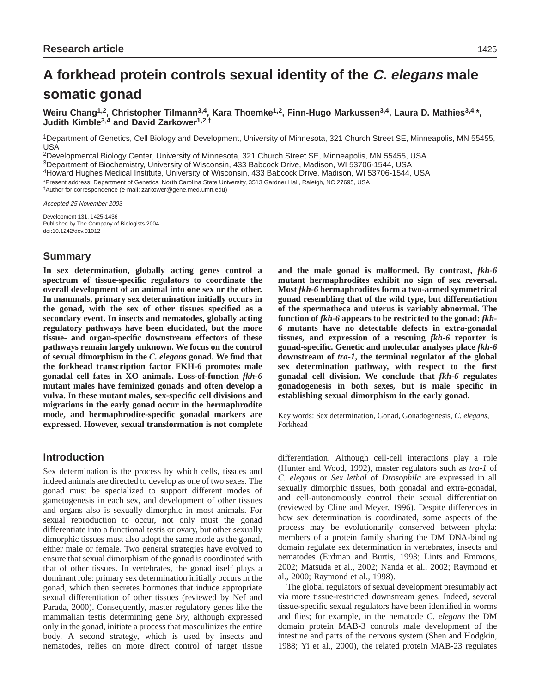# **A forkhead protein controls sexual identity of the C. elegans male somatic gonad**

Weiru Chang<sup>1,2</sup>, Christopher Tilmann<sup>3,4</sup>, Kara Thoemke<sup>1,2</sup>, Finn-Hugo Markussen<sup>3,4</sup>, Laura D. Mathies<sup>3,4,\*</sup>, **Judith Kimble3,4 and David Zarkower1,2,†**

1Department of Genetics, Cell Biology and Development, University of Minnesota, 321 Church Street SE, Minneapolis, MN 55455, USA

2Developmental Biology Center, University of Minnesota, 321 Church Street SE, Minneapolis, MN 55455, USA 3Department of Biochemistry, University of Wisconsin, 433 Babcock Drive, Madison, WI 53706-1544, USA

4Howard Hughes Medical Institute, University of Wisconsin, 433 Babcock Drive, Madison, WI 53706-1544, USA

\*Present address: Department of Genetics, North Carolina State University, 3513 Gardner Hall, Raleigh, NC 27695, USA

†Author for correspondence (e-mail: zarkower@gene.med.umn.edu)

Accepted 25 November 2003

Development 131, 1425-1436 Published by The Company of Biologists 2004 doi:10.1242/dev.01012

# **Summary**

**In sex determination, globally acting genes control a spectrum of tissue-specific regulators to coordinate the overall development of an animal into one sex or the other. In mammals, primary sex determination initially occurs in the gonad, with the sex of other tissues specified as a secondary event. In insects and nematodes, globally acting regulatory pathways have been elucidated, but the more tissue- and organ-specific downstream effectors of these pathways remain largely unknown. We focus on the control of sexual dimorphism in the** *C. elegans* **gonad. We find that the forkhead transcription factor FKH-6 promotes male gonadal cell fates in XO animals. Loss-of-function** *fkh-6* **mutant males have feminized gonads and often develop a vulva. In these mutant males, sex-specific cell divisions and migrations in the early gonad occur in the hermaphrodite mode, and hermaphrodite-specific gonadal markers are expressed. However, sexual transformation is not complete**

**and the male gonad is malformed. By contrast,** *fkh-6* **mutant hermaphrodites exhibit no sign of sex reversal. Most** *fkh-6* **hermaphrodites form a two-armed symmetrical gonad resembling that of the wild type, but differentiation of the spermatheca and uterus is variably abnormal. The function of** *fkh-6* **appears to be restricted to the gonad:** *fkh-6* **mutants have no detectable defects in extra-gonadal tissues, and expression of a rescuing** *fkh-6* **reporter is gonad-specific. Genetic and molecular analyses place** *fkh-6* **downstream of** *tra-1***, the terminal regulator of the global sex determination pathway, with respect to the first gonadal cell division. We conclude that** *fkh-6* **regulates gonadogenesis in both sexes, but is male specific in establishing sexual dimorphism in the early gonad.**

Key words: Sex determination, Gonad, Gonadogenesis, *C. elegans*, Forkhead

# **Introduction**

Sex determination is the process by which cells, tissues and indeed animals are directed to develop as one of two sexes. The gonad must be specialized to support different modes of gametogenesis in each sex, and development of other tissues and organs also is sexually dimorphic in most animals. For sexual reproduction to occur, not only must the gonad differentiate into a functional testis or ovary, but other sexually dimorphic tissues must also adopt the same mode as the gonad, either male or female. Two general strategies have evolved to ensure that sexual dimorphism of the gonad is coordinated with that of other tissues. In vertebrates, the gonad itself plays a dominant role: primary sex determination initially occurs in the gonad, which then secretes hormones that induce appropriate sexual differentiation of other tissues (reviewed by Nef and Parada, 2000). Consequently, master regulatory genes like the mammalian testis determining gene *Sry*, although expressed only in the gonad, initiate a process that masculinizes the entire body. A second strategy, which is used by insects and nematodes, relies on more direct control of target tissue differentiation. Although cell-cell interactions play a role (Hunter and Wood, 1992), master regulators such as *tra-1* of *C. elegans* or *Sex lethal* of *Drosophila* are expressed in all sexually dimorphic tissues, both gonadal and extra-gonadal, and cell-autonomously control their sexual differentiation (reviewed by Cline and Meyer, 1996). Despite differences in how sex determination is coordinated, some aspects of the process may be evolutionarily conserved between phyla: members of a protein family sharing the DM DNA-binding domain regulate sex determination in vertebrates, insects and nematodes (Erdman and Burtis, 1993; Lints and Emmons, 2002; Matsuda et al., 2002; Nanda et al., 2002; Raymond et al., 2000; Raymond et al., 1998).

The global regulators of sexual development presumably act via more tissue-restricted downstream genes. Indeed, several tissue-specific sexual regulators have been identified in worms and flies; for example, in the nematode *C. elegans* the DM domain protein MAB-3 controls male development of the intestine and parts of the nervous system (Shen and Hodgkin, 1988; Yi et al., 2000), the related protein MAB-23 regulates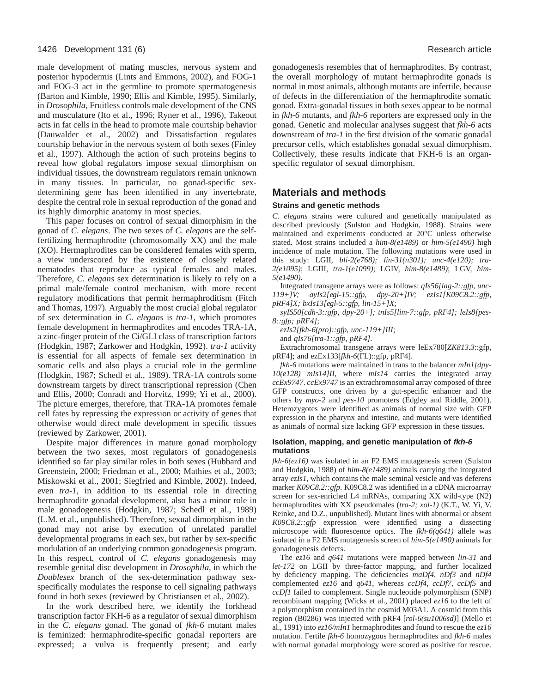male development of mating muscles, nervous system and posterior hypodermis (Lints and Emmons, 2002), and FOG-1 and FOG-3 act in the germline to promote spermatogenesis (Barton and Kimble, 1990; Ellis and Kimble, 1995). Similarly, in *Drosophila*, Fruitless controls male development of the CNS and musculature (Ito et al., 1996; Ryner et al., 1996), Takeout acts in fat cells in the head to promote male courtship behavior (Dauwalder et al., 2002) and Dissatisfaction regulates courtship behavior in the nervous system of both sexes (Finley et al., 1997). Although the action of such proteins begins to reveal how global regulators impose sexual dimorphism on individual tissues, the downstream regulators remain unknown in many tissues. In particular, no gonad-specific sexdetermining gene has been identified in any invertebrate, despite the central role in sexual reproduction of the gonad and its highly dimorphic anatomy in most species.

This paper focuses on control of sexual dimorphism in the gonad of *C. elegans*. The two sexes of *C. elegans* are the selffertilizing hermaphrodite (chromosomally XX) and the male (XO). Hermaphrodites can be considered females with sperm, a view underscored by the existence of closely related nematodes that reproduce as typical females and males. Therefore, *C. elegans* sex determination is likely to rely on a primal male/female control mechanism, with more recent regulatory modifications that permit hermaphroditism (Fitch and Thomas, 1997). Arguably the most crucial global regulator of sex determination in *C. elegans* is *tra-1*, which promotes female development in hermaphrodites and encodes TRA-1A, a zinc-finger protein of the Ci/GLI class of transcription factors (Hodgkin, 1987; Zarkower and Hodgkin, 1992). *tra-1* activity is essential for all aspects of female sex determination in somatic cells and also plays a crucial role in the germline (Hodgkin, 1987; Schedl et al., 1989). TRA-1A controls some downstream targets by direct transcriptional repression (Chen and Ellis, 2000; Conradt and Horvitz, 1999; Yi et al., 2000). The picture emerges, therefore, that TRA-1A promotes female cell fates by repressing the expression or activity of genes that otherwise would direct male development in specific tissues (reviewed by Zarkower, 2001).

Despite major differences in mature gonad morphology between the two sexes, most regulators of gonadogenesis identified so far play similar roles in both sexes (Hubbard and Greenstein, 2000; Friedman et al., 2000; Mathies et al., 2003; Miskowski et al., 2001; Siegfried and Kimble, 2002). Indeed, even *tra-1*, in addition to its essential role in directing hermaphrodite gonadal development, also has a minor role in male gonadogenesis (Hodgkin, 1987; Schedl et al., 1989) (L.M. et al., unpublished). Therefore, sexual dimorphism in the gonad may not arise by execution of unrelated parallel developmental programs in each sex, but rather by sex-specific modulation of an underlying common gonadogenesis program. In this respect, control of *C. elegans* gonadogenesis may resemble genital disc development in *Drosophila*, in which the *Doublesex* branch of the sex-determination pathway sexspecifically modulates the response to cell signaling pathways found in both sexes (reviewed by Christiansen et al., 2002).

In the work described here, we identify the forkhead transcription factor FKH-6 as a regulator of sexual dimorphism in the *C. elegans* gonad. The gonad of *fkh-6* mutant males is feminized: hermaphrodite-specific gonadal reporters are expressed; a vulva is frequently present; and early

gonadogenesis resembles that of hermaphrodites. By contrast, the overall morphology of mutant hermaphrodite gonads is normal in most animals, although mutants are infertile, because of defects in the differentiation of the hermaphrodite somatic gonad. Extra-gonadal tissues in both sexes appear to be normal in *fkh-6* mutants, and *fkh-6* reporters are expressed only in the gonad. Genetic and molecular analyses suggest that *fkh-6* acts downstream of *tra-1* in the first division of the somatic gonadal precursor cells, which establishes gonadal sexual dimorphism. Collectively, these results indicate that FKH-6 is an organspecific regulator of sexual dimorphism.

# **Materials and methods**

#### **Strains and genetic methods**

*C. elegans* strains were cultured and genetically manipulated as described previously (Sulston and Hodgkin, 1988). Strains were maintained and experiments conducted at 20°C unless otherwise stated. Most strains included a *him-8(e1489)* or *him-5(e1490)* high incidence of male mutation. The following mutations were used in this study: LGII, *bli-2(e768); lin-31(n301); unc-4(e120); tra-2(e1095)*; LGIII, *tra-1(e1099)*; LGIV, *him-8(e1489)*; LGV, *him-5(e1490).*

Integrated transgene arrays were as follows: *qIs56[lag-2::gfp, unc-119+]V; ayIs2[egl-15::gfp, dpy-20+]IV; ezIs1[K09C8.2::gfp, pRF4]X; bxIs13[egl-5::gfp, lin-15+]X*;

*syIS50[cdh-3::gfp, dpy-20+]; tnIs5[lim-7::gfp, pRF4]; leIs8[pes-8::gfp; pRF4]*;

*ezIs2[fkh-6(pro)::gfp, unc-119+]III*;

and *qIs76[tra-1::gfp, pRF4]*.

Extrachromosomal transgene arrays were leEx780[*ZK813.3*::gfp, pRF4]; and ezEx133[*fkh-6*(FL)::gfp, pRF4].

*fkh-6* mutations were maintained in trans to the balancer *mIn1[dpy-10(e128) mIs14]II*, where *mIs14* carries the integrated array *ccEx9747*. *ccEx9747* is an extrachromosomal array composed of three GFP constructs, one driven by a gut-specific enhancer and the others by *myo-2* and *pes-10* promoters (Edgley and Riddle, 2001). Heterozygotes were identified as animals of normal size with GFP expression in the pharynx and intestine, and mutants were identified as animals of normal size lacking GFP expression in these tissues.

#### **Isolation, mapping, and genetic manipulation of fkh-6 mutations**

*fkh-6(ez16)* was isolated in an F2 EMS mutagenesis screen (Sulston and Hodgkin, 1988) of *him-8(e1489)* animals carrying the integrated array *ezIs1*, which contains the male seminal vesicle and vas deferens marker *K09C8.2::gfp*. K09C8.2 was identified in a cDNA microarray screen for sex-enriched L4 mRNAs, comparing XX wild-type (N2) hermaphrodites with XX pseudomales (*tra-2; xol-1)* (K.T., W. Yi, V. Reinke, and D.Z., unpublished). Mutant lines with abnormal or absent *K09C8.2::gfp* expression were identified using a dissecting microscope with fluorescence optics. The *fkh-6(q641)* allele was isolated in a F2 EMS mutagenesis screen of *him-5(e1490)* animals for gonadogenesis defects.

The *ez16* and *q641* mutations were mapped between *lin-31* and *let-172* on LGII by three-factor mapping, and further localized by deficiency mapping. The deficiencies *maDf4*, *nDf3* and *nDf4* complemented *ez16* and *q641*, whereas *ccDf4*, *ccDf7*, *ccDf5* and *ccDf1* failed to complement. Single nucleotide polymorphism (SNP) recombinant mapping (Wicks et al., 2001) placed *ez16* to the left of a polymorphism contained in the cosmid M03A1. A cosmid from this region (B0286) was injected with pRF4 [*rol-6(su1006sd)*] (Mello et al., 1991) into *ez16/mIn1* hermaphrodites and found to rescue the *ez16* mutation. Fertile *fkh-6* homozygous hermaphrodites and *fkh-6* males with normal gonadal morphology were scored as positive for rescue.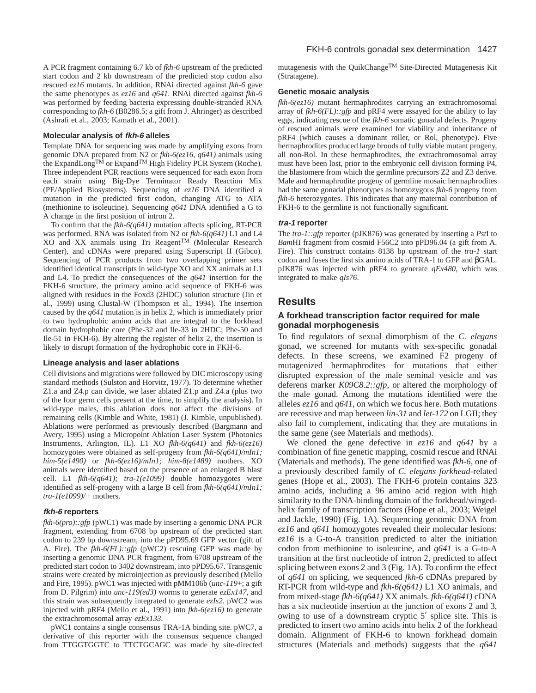A PCR fragment containing 6.7 kb of *fkh-6* upstream of the predicted start codon and 2 kb downstream of the predicted stop codon also rescued *ez16* mutants. In addition, RNAi directed against *fkh-6* gave the same phenotypes as *ez16* and *q641*. RNAi directed against *fkh-6* was performed by feeding bacteria expressing double-stranded RNA corresponding to *fkh-6* (B0286.5; a gift from J. Ahringer) as described (Ashrafi et al., 2003; Kamath et al., 2001).

#### **Molecular analysis of fkh-6 alleles**

Template DNA for sequencing was made by amplifying exons from genomic DNA prepared from N2 or *fkh-6(ez16, q641)* animals using the ExpandLongTM or ExpandTM High Fidelity PCR System (Roche). Three independent PCR reactions were sequenced for each exon from each strain using Big-Dye Terminator Ready Reaction Mix (PE/Applied Biosystems). Sequencing of *ez16* DNA identified a mutation in the predicted first codon, changing ATG to ATA (methionine to isoleucine). Sequencing *q641* DNA identified a G to A change in the first position of intron 2.

To confirm that the *fkh-6(q641)* mutation affects splicing, RT-PCR was performed. RNA was isolated from N2 or *fkh-6(q641)* L1 and L4  $XO$  and XX animals using Tri Reagent<sup>TM</sup> (Molecular Research Center), and cDNAs were prepared using Superscript II (Gibco). Sequencing of PCR products from two overlapping primer sets identified identical transcripts in wild-type XO and XX animals at L1 and L4. To predict the consequences of the *q641* insertion for the FKH-6 structure, the primary amino acid sequence of FKH-6 was aligned with residues in the Foxd3 (2HDC) solution structure (Jin et al., 1999) using Clustal-W (Thompson et al., 1994). The insertion caused by the *q641* mutation is in helix 2, which is immediately prior to two hydrophobic amino acids that are integral to the forkhead domain hydrophobic core (Phe-32 and Ile-33 in 2HDC; Phe-50 and Ile-51 in FKH-6). By altering the register of helix 2, the insertion is likely to disrupt formation of the hydrophobic core in FKH-6.

#### **Lineage analysis and laser ablations**

Cell divisions and migrations were followed by DIC microscopy using standard methods (Sulston and Horvitz, 1977). To determine whether Z1.a and Z4.p can divide, we laser ablated Z1.p and Z4.a (plus two of the four germ cells present at the time, to simplify the analysis). In wild-type males, this ablation does not affect the divisions of remaining cells (Kimble and White, 1981) (J. Kimble, unpublished). Ablations were performed as previously described (Bargmann and Avery, 1995) using a Micropoint Ablation Laser System (Photonics Instruments, Arlington, IL). L1 XO *fkh-6(q641)* and *fkh-6(ez16)* homozygotes were obtained as self-progeny from *fkh-6(q641)/mIn1; him-5(e1490)* or *fkh-6(ez16)/mIn1; him-8(e1489)* mothers. XO animals were identified based on the presence of an enlarged B blast cell. L1 *fkh-6(q641); tra-1(e1099)* double homozygotes were identified as self-progeny with a large B cell from *fkh-6(q641)/mIn1; tra-1(e1099)/+* mothers.

#### **fkh-6 reporters**

*fkh-6(pro)::gfp* (pWC1) was made by inserting a genomic DNA PCR fragment, extending from 6708 bp upstream of the predicted start codon to 239 bp downstream, into the pPD95.69 GFP vector (gift of A. Fire). The *fkh-6(FL)::gfp* (pWC2) rescuing GFP was made by inserting a genomic DNA PCR fragment, from 6708 upstream of the predicted start codon to 3402 downstream, into pPD95.67. Transgenic strains were created by microinjection as previously described (Mello and Fire, 1995). pWC1 was injected with pMM106b (*unc-119*+; a gift from D. Pilgrim) into *unc-119(ed3)* worms to generate *ezEx147*, and this strain was subsequently integrated to generate *ezIs2*. pWC2 was injected with pRF4 (Mello et al., 1991) into *fkh-6(ez16)* to generate the extrachromosomal array *ezEx133.*

pWC1 contains a single consensus TRA-1A binding site. pWC7, a derivative of this reporter with the consensus sequence changed from TTGGTGGTC to TTCTGCAGC was made by site-directed mutagenesis with the QuikChangeTM Site-Directed Mutagenesis Kit (Stratagene).

#### **Genetic mosaic analysis**

*fkh-6(ez16)* mutant hermaphrodites carrying an extrachromosomal array of *fkh-6(FL)::gfp* and pRF4 were assayed for the ability to lay eggs, indicating rescue of the *fkh-6* somatic gonadal defects. Progeny of rescued animals were examined for viability and inheritance of pRF4 (which causes a dominant roller, or Rol, phenotype). Five hermaphrodites produced large broods of fully viable mutant progeny, all non-Rol. In these hermaphrodites, the extrachromosomal array must have been lost, prior to the embryonic cell division forming P4, the blastomere from which the germline precursors Z2 and Z3 derive. Male and hermaphrodite progeny of germline mosaic hermaphrodites had the same gonadal phenotypes as homozygous *fkh-6* progeny from *fkh-6* heterozygotes. This indicates that any maternal contribution of FKH-6 to the germline is not functionally significant.

#### **tra-1 reporter**

The *tra-1::gfp* reporter (pJK876) was generated by inserting a *Pst*I to *Bam*HI fragment from cosmid F56C2 into pPD96.04 (a gift from A. Fire). This construct contains 8138 bp upstream of the *tra-1* start codon and fuses the first six amino acids of TRA-1 to GFP and βGAL. pJK876 was injected with pRF4 to generate *qEx480*, which was integrated to make *qIs76*.

#### **Results**

#### **A forkhead transcription factor required for male gonadal morphogenesis**

To find regulators of sexual dimorphism of the *C. elegans* gonad, we screened for mutants with sex-specific gonadal defects. In these screens, we examined F2 progeny of mutagenized hermaphrodites for mutations that either disrupted expression of the male seminal vesicle and vas deferens marker *K09C8.2::gfp*, or altered the morphology of the male gonad. Among the mutations identified were the alleles *ez16* and *q641*, on which we focus here. Both mutations are recessive and map between *lin-31* and *let-172* on LGII; they also fail to complement, indicating that they are mutations in the same gene (see Materials and methods).

We cloned the gene defective in *ez16* and *q641* by a combination of fine genetic mapping, cosmid rescue and RNAi (Materials and methods). The gene identified was *fkh-6*, one of a previously described family of *C. elegans forkhead*-related genes (Hope et al., 2003). The FKH-6 protein contains 323 amino acids, including a 96 amino acid region with high similarity to the DNA-binding domain of the forkhead/wingedhelix family of transcription factors (Hope et al., 2003; Weigel and Jackle, 1990) (Fig. 1A). Sequencing genomic DNA from *ez16* and *q641* homozygotes revealed their molecular lesions: *ez16* is a G-to-A transition predicted to alter the initiation codon from methionine to isoleucine, and *q641* is a G-to-A transition at the first nucleotide of intron 2, predicted to affect splicing between exons 2 and 3 (Fig. 1A). To confirm the effect of *q641* on splicing, we sequenced *fkh-6* cDNAs prepared by RT-PCR from wild-type and *fkh-6(q641)* L1 XO animals, and from mixed-stage *fkh-6(q641)* XX animals. *fkh-6(q641)* cDNA has a six nucleotide insertion at the junction of exons 2 and 3, owing to use of a downstream cryptic 5′ splice site. This is predicted to insert two amino acids into helix 2 of the forkhead domain. Alignment of FKH-6 to known forkhead domain structures (Materials and methods) suggests that the *q641*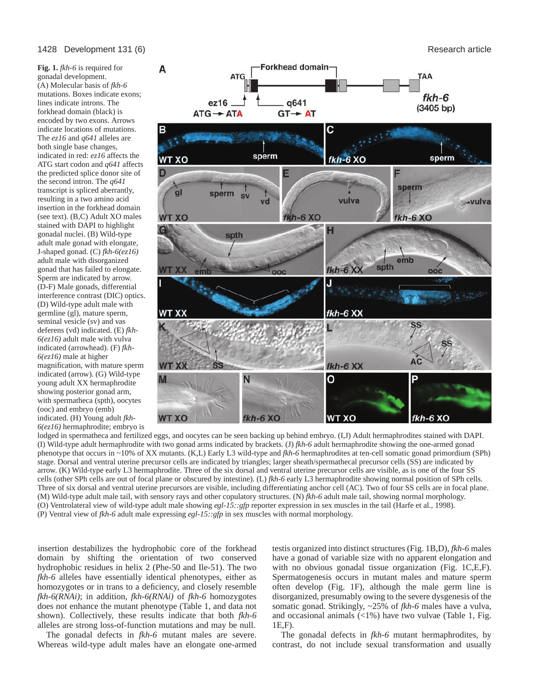**Fig. 1.** *fkh*-6 is required for gonadal development. (A) Molecular basis of *fkh-6* mutations. Boxes indicate exons; lines indicate introns. The forkhead domain (black) is encoded by two exons. Arrows indicate locations of mutations. The *ez16* and *q641* alleles are both single base changes, indicated in red: *ez16* affects the ATG start codon and *q641* affects the predicted splice donor site of the second intron. The *q641* transcript is spliced aberrantly, resulting in a two amino acid insertion in the forkhead domain (see text). (B,C) Adult XO males stained with DAPI to highlight gonadal nuclei. (B) Wild-type adult male gonad with elongate, J-shaped gonad. (C) *fkh-6(ez16)* adult male with disorganized gonad that has failed to elongate. Sperm are indicated by arrow. (D-F) Male gonads, differential interference contrast (DIC) optics. (D) Wild-type adult male with germline (gl), mature sperm, seminal vesicle (sv) and vas deferens (vd) indicated. (E) *fkh-6(ez16)* adult male with vulva indicated (arrowhead). (F) *fkh-6(ez16)* male at higher magnification, with mature sperm indicated (arrow). (G) Wild-type young adult XX hermaphrodite showing posterior gonad arm, with spermatheca (spth), oocytes (ooc) and embryo (emb) indicated. (H) Young adult *fkh-6(ez16)* hermaphrodite; embryo is



lodged in spermatheca and fertilized eggs, and oocytes can be seen backing up behind embryo. (I,J) Adult hermaphrodites stained with DAPI. (I) Wild-type adult hermaphrodite with two gonad arms indicated by brackets. (J) *fkh-6* adult hermaphrodite showing the one-armed gonad phenotype that occurs in ~10% of XX mutants. (K,L) Early L3 wild-type and *fkh-6* hermaphrodites at ten-cell somatic gonad primordium (SPh) stage. Dorsal and ventral uterine precursor cells are indicated by triangles; larger sheath/spermathecal precursor cells (SS) are indicated by arrow. (K) Wild-type early L3 hermaphrodite. Three of the six dorsal and ventral uterine precursor cells are visible, as is one of the four SS cells (other SPh cells are out of focal plane or obscured by intestine). (L) *fkh-6* early L3 hermaphrodite showing normal position of SPh cells. Three of six dorsal and ventral uterine precursors are visible, including differentiating anchor cell (AC). Two of four SS cells are in focal plane. (M) Wild-type adult male tail, with sensory rays and other copulatory structures. (N) *fkh-6* adult male tail, showing normal morphology. (O) Ventrolateral view of wild-type adult male showing *egl-15::gfp* reporter expression in sex muscles in the tail (Harfe et al., 1998). (P) Ventral view of *fkh-6* adult male expressing *egl-15::gfp* in sex muscles with normal morphology.

insertion destabilizes the hydrophobic core of the forkhead domain by shifting the orientation of two conserved hydrophobic residues in helix 2 (Phe-50 and Ile-51). The two *fkh-6* alleles have essentially identical phenotypes, either as homozygotes or in trans to a deficiency, and closely resemble *fkh-6(RNAi)*; in addition, *fkh-6(RNAi)* of *fkh-6* homozygotes does not enhance the mutant phenotype (Table 1, and data not shown). Collectively, these results indicate that both *fkh-6* alleles are strong loss-of-function mutations and may be null.

The gonadal defects in *fkh-6* mutant males are severe. Whereas wild-type adult males have an elongate one-armed

testis organized into distinct structures (Fig. 1B,D), *fkh-6* males have a gonad of variable size with no apparent elongation and with no obvious gonadal tissue organization (Fig. 1C,E,F). Spermatogenesis occurs in mutant males and mature sperm often develop (Fig. 1F), although the male germ line is disorganized, presumably owing to the severe dysgenesis of the somatic gonad. Strikingly, ~25% of *fkh-6* males have a vulva, and occasional animals (<1%) have two vulvae (Table 1, Fig. 1E,F).

The gonadal defects in *fkh-6* mutant hermaphrodites, by contrast, do not include sexual transformation and usually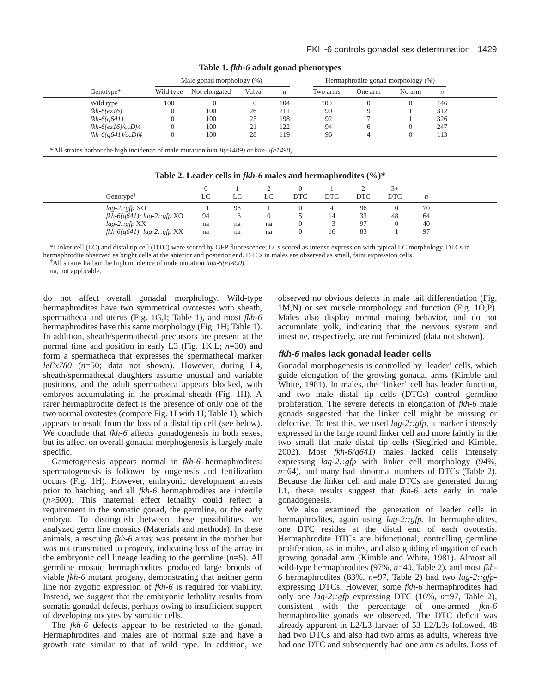|                   |           | Male gonad morphology (%) |       |     |          | Hermaphrodite gonad morphology (%) |        |                  |
|-------------------|-----------|---------------------------|-------|-----|----------|------------------------------------|--------|------------------|
| Genotype*         | Wild type | Not elongated             | Vulva | n   | Two arms | One arm                            | No arm | $\boldsymbol{n}$ |
| Wild type         | 100       |                           |       | 104 | 100      |                                    |        | 146              |
| $fkh-6(ez16)$     |           | 100                       | 26    | 211 | 90       |                                    |        | 312              |
| $fkh-6(q641)$     |           | 100                       | 25    | 198 | 92       |                                    |        | 326              |
| fkh-6(ez16)/ccDf4 |           | 100                       | 21    | 122 | 94       | 6                                  |        | 247              |
| fkh-6(q641)/ccDf4 |           | 100                       | 28    | 119 | 96       |                                    |        | 113              |

**Table 1.** *fkh-6* **adult gonad phenotypes**

|  |  | Table 2. Leader cells in $fkh-6$ males and hermaphrodites $(\%)^*$ |
|--|--|--------------------------------------------------------------------|
|--|--|--------------------------------------------------------------------|

|                                  |    |    |    |            |            |     | $+$        |    |  |
|----------------------------------|----|----|----|------------|------------|-----|------------|----|--|
| Genotype <sup>†</sup>            | LC | LC |    | <b>DTC</b> | <b>DTC</b> | DTC | <b>DTC</b> | n  |  |
| $lag-2::gfp$ XO                  |    | 98 |    |            |            | 96  |            | 70 |  |
| $fkh-6(q641)$ ; lag-2:: $gfp$ XO | 94 | O  |    |            | 14         | 33  | 48         | 64 |  |
| $lag-2::gfp$ XX                  | na | na | na |            |            | 97  | 0          | 40 |  |
| $fkh-6(q641)$ ; lag-2:: $gfp$ XX | na | na | na |            | 16         | 83  |            | 97 |  |

\*Linker cell (LC) and distal tip cell (DTC) were scored by GFP fluorescence; LCs scored as intense expression with typical LC morphology. DTCs in hermaphrodite observed as bright cells at the anterior and posterior end. DTCs in males are observed as small, faint expression cells.

na, not applicable.

do not affect overall gonadal morphology. Wild-type hermaphrodites have two symmetrical ovotestes with sheath, spermatheca and uterus (Fig. 1G,I; Table 1), and most *fkh-6* hermaphrodites have this same morphology (Fig. 1H; Table 1). In addition, sheath/spermathecal precursors are present at the normal time and position in early L3 (Fig. 1K,L; *n*=30) and form a spermatheca that expresses the spermathecal marker *leEx780* (*n*=50; data not shown). However, during L4, sheath/spermathecal daughters assume unusual and variable positions, and the adult spermatheca appears blocked, with embryos accumulating in the proximal sheath (Fig. 1H). A rarer hermaphrodite defect is the presence of only one of the two normal ovotestes (compare Fig. 1I with 1J; Table 1), which appears to result from the loss of a distal tip cell (see below). We conclude that *fkh-6* affects gonadogenesis in both sexes, but its affect on overall gonadal morphogenesis is largely male specific.

Gametogenesis appears normal in *fkh-6* hermaphrodites: spermatogenesis is followed by oogenesis and fertilization occurs (Fig. 1H). However, embryonic development arrests prior to hatching and all *fkh-6* hermaphrodites are infertile (*n*>500). This maternal effect lethality could reflect a requirement in the somatic gonad, the germline, or the early embryo. To distinguish between these possibilities, we analyzed germ line mosaics (Materials and methods). In these animals, a rescuing *fkh-6* array was present in the mother but was not transmitted to progeny, indicating loss of the array in the embryonic cell lineage leading to the germline (*n*=5). All germline mosaic hermaphrodites produced large broods of viable *fkh-6* mutant progeny, demonstrating that neither germ line nor zygotic expression of *fkh-6* is required for viability. Instead, we suggest that the embryonic lethality results from somatic gonadal defects, perhaps owing to insufficient support of developing oocytes by somatic cells.

The *fkh-6* defects appear to be restricted to the gonad. Hermaphrodites and males are of normal size and have a growth rate similar to that of wild type. In addition, we observed no obvious defects in male tail differentiation (Fig. 1M,N) or sex muscle morphology and function (Fig. 1O,P). Males also display normal mating behavior, and do not accumulate yolk, indicating that the nervous system and intestine, respectively, are not feminized (data not shown).

## **fkh-6 males lack gonadal leader cells**

Gonadal morphogenesis is controlled by 'leader' cells, which guide elongation of the growing gonadal arms (Kimble and White, 1981). In males, the 'linker' cell has leader function, and two male distal tip cells (DTCs) control germline proliferation. The severe defects in elongation of *fkh-6* male gonads suggested that the linker cell might be missing or defective. To test this, we used *lag-2::gfp*, a marker intensely expressed in the large round linker cell and more faintly in the two small flat male distal tip cells (Siegfried and Kimble, 2002). Most *fkh-6(q641)* males lacked cells intensely expressing *lag-2::gfp* with linker cell morphology (94%, *n*=64), and many had abnormal numbers of DTCs (Table 2). Because the linker cell and male DTCs are generated during L1, these results suggest that *fkh-6* acts early in male gonadogenesis.

We also examined the generation of leader cells in hermaphrodites, again using *lag-2::gfp*. In hermaphrodites, one DTC resides at the distal end of each ovotestis. Hermaphrodite DTCs are bifunctional, controlling germline proliferation, as in males, and also guiding elongation of each growing gonadal arm (Kimble and White, 1981). Almost all wild-type hermaphrodites (97%, *n*=40, Table 2), and most *fkh-6* hermaphrodites (83%, *n*=97, Table 2) had two *lag-2::gfp*expressing DTCs. However, some *fkh-6* hermaphrodites had only one *lag-2::gfp* expressing DTC (16%, *n*=97, Table 2), consistent with the percentage of one-armed *fkh-6* hermaphrodite gonads we observed. The DTC deficit was already apparent in L2/L3 larvae: of 53 L2/L3s followed, 48 had two DTCs and also had two arms as adults, whereas five had one DTC and subsequently had one arm as adults. Loss of

<sup>†</sup>All strains harbor the high incidence of male mutation *him-5(e1490).*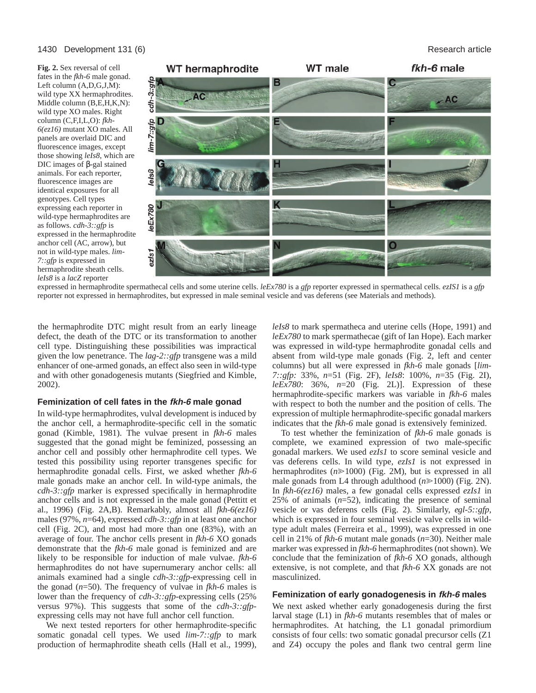#### 1430 Development 131 (6) **Research article Research article Research article Research article**

**Fig. 2.** Sex reversal of cell fates in the *fkh-6* male gonad. Left column (A,D,G,J,M): wild type XX hermaphrodites. Middle column (B,E,H,K,N): wild type XO males. Right column (C,F,I,L,O): *fkh-6(ez16)* mutant XO males. All panels are overlaid DIC and fluorescence images, except those showing *leIs8*, which are DIC images of β-gal stained animals. For each reporter, fluorescence images are identical exposures for all genotypes. Cell types expressing each reporter in wild-type hermaphrodites are as follows. *cdh-3::gfp* is expressed in the hermaphrodite anchor cell (AC, arrow), but not in wild-type males. *lim-7::gfp* is expressed in hermaphrodite sheath cells. *leIs8* is a *lacZ* reporter



expressed in hermaphrodite spermathecal cells and some uterine cells. *leEx780* is a *gfp* reporter expressed in spermathecal cells. *ezIS1* is a *gfp* reporter not expressed in hermaphrodites, but expressed in male seminal vesicle and vas deferens (see Materials and methods).

the hermaphrodite DTC might result from an early lineage defect, the death of the DTC or its transformation to another cell type. Distinguishing these possibilities was impractical given the low penetrance. The *lag-2::gfp* transgene was a mild enhancer of one-armed gonads, an effect also seen in wild-type and with other gonadogenesis mutants (Siegfried and Kimble, 2002).

#### **Feminization of cell fates in the fkh-6 male gonad**

In wild-type hermaphrodites, vulval development is induced by the anchor cell, a hermaphrodite-specific cell in the somatic gonad (Kimble, 1981). The vulvae present in *fkh-6* males suggested that the gonad might be feminized, possessing an anchor cell and possibly other hermaphrodite cell types. We tested this possibility using reporter transgenes specific for hermaphrodite gonadal cells. First, we asked whether *fkh-6* male gonads make an anchor cell. In wild-type animals, the *cdh-3::gfp* marker is expressed specifically in hermaphrodite anchor cells and is not expressed in the male gonad (Pettitt et al., 1996) (Fig. 2A,B). Remarkably, almost all *fkh-6(ez16)* males (97%, *n*=64), expressed *cdh-3::gfp* in at least one anchor cell (Fig. 2C), and most had more than one (83%), with an average of four. The anchor cells present in *fkh-6* XO gonads demonstrate that the *fkh-6* male gonad is feminized and are likely to be responsible for induction of male vulvae. *fkh-6* hermaphrodites do not have supernumerary anchor cells: all animals examined had a single *cdh-3::gfp*-expressing cell in the gonad (*n*=50). The frequency of vulvae in *fkh-6* males is lower than the frequency of *cdh-3::gfp*-expressing cells (25% versus 97%). This suggests that some of the *cdh-3::gfp*expressing cells may not have full anchor cell function.

We next tested reporters for other hermaphrodite-specific somatic gonadal cell types. We used *lim-7::gfp* to mark production of hermaphrodite sheath cells (Hall et al., 1999),

*leIs8* to mark spermatheca and uterine cells (Hope, 1991) and *leEx780* to mark spermathecae (gift of Ian Hope). Each marker was expressed in wild-type hermaphrodite gonadal cells and absent from wild-type male gonads (Fig. 2, left and center columns) but all were expressed in *fkh-6* male gonads [*lim-7::gfp:* 33%, *n*=51 (Fig. 2F), *leIs8*: 100%, *n*=35 (Fig. 2I), *leEx780*: 36%, *n*=20 (Fig. 2L)]. Expression of these hermaphrodite-specific markers was variable in *fkh-6* males with respect to both the number and the position of cells. The expression of multiple hermaphrodite-specific gonadal markers indicates that the *fkh-6* male gonad is extensively feminized.

To test whether the feminization of *fkh-6* male gonads is complete, we examined expression of two male-specific gonadal markers. We used *ezIs1* to score seminal vesicle and vas deferens cells. In wild type, *ezIs1* is not expressed in hermaphrodites  $(n \ge 1000)$  (Fig. 2M), but is expressed in all male gonads from L4 through adulthood (*n*≥1000) (Fig. 2N). In *fkh-6(ez16)* males, a few gonadal cells expressed *ezIs1* in 25% of animals (*n*=52), indicating the presence of seminal vesicle or vas deferens cells (Fig. 2). Similarly, *egl-5::gfp*, which is expressed in four seminal vesicle valve cells in wildtype adult males (Ferreira et al., 1999), was expressed in one cell in 21% of *fkh-6* mutant male gonads (*n*=30). Neither male marker was expressed in *fkh-6* hermaphrodites (not shown). We conclude that the feminization of *fkh-6* XO gonads, although extensive, is not complete, and that *fkh-6* XX gonads are not masculinized.

#### **Feminization of early gonadogenesis in fkh-6 males**

We next asked whether early gonadogenesis during the first larval stage (L1) in *fkh-6* mutants resembles that of males or hermaphrodites. At hatching, the L1 gonadal primordium consists of four cells: two somatic gonadal precursor cells (Z1 and Z4) occupy the poles and flank two central germ line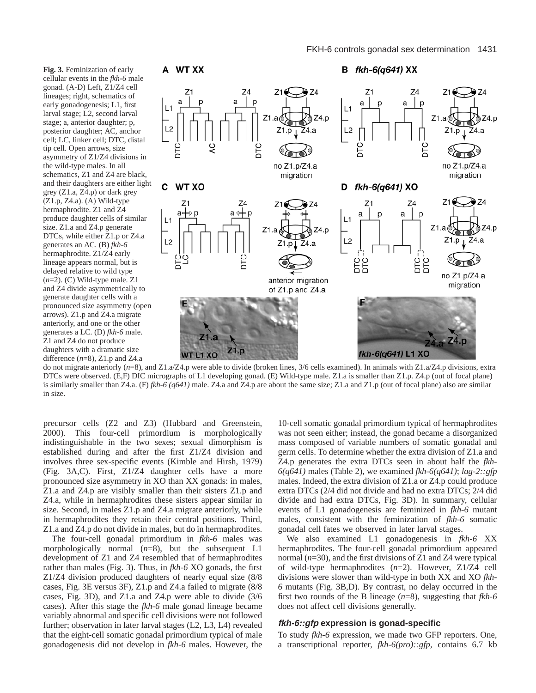

do not migrate anteriorly (*n*=8), and Z1.a/Z4.p were able to divide (broken lines, 3/6 cells examined). In animals with Z1.a/Z4.p divisions, extra DTCs were observed. (E,F) DIC micrographs of L1 developing gonad. (E) Wild-type male. Z1.a is smaller than Z1.p. Z4.p (out of focal plane) is similarly smaller than Z4.a. (F) *fkh-6 (q641)* male. Z4.a and Z4.p are about the same size; Z1.a and Z1.p (out of focal plane) also are similar in size.

precursor cells (Z2 and Z3) (Hubbard and Greenstein, 2000). This four-cell primordium is morphologically indistinguishable in the two sexes; sexual dimorphism is established during and after the first Z1/Z4 division and involves three sex-specific events (Kimble and Hirsh, 1979) (Fig. 3A,C). First, Z1/Z4 daughter cells have a more pronounced size asymmetry in XO than XX gonads: in males, Z1.a and Z4.p are visibly smaller than their sisters Z1.p and Z4.a, while in hermaphrodites these sisters appear similar in size. Second, in males Z1.p and Z4.a migrate anteriorly, while in hermaphrodites they retain their central positions. Third, Z1.a and Z4.p do not divide in males, but do in hermaphrodites.

The four-cell gonadal primordium in *fkh-6* males was morphologically normal (*n*=8), but the subsequent L1 development of Z1 and Z4 resembled that of hermaphrodites rather than males (Fig. 3). Thus, in *fkh-6* XO gonads, the first Z1/Z4 division produced daughters of nearly equal size (8/8 cases, Fig. 3E versus 3F), Z1.p and Z4.a failed to migrate (8/8 cases, Fig. 3D), and Z1.a and Z4.p were able to divide (3/6 cases). After this stage the *fkh-6* male gonad lineage became variably abnormal and specific cell divisions were not followed further; observation in later larval stages (L2, L3, L4) revealed that the eight-cell somatic gonadal primordium typical of male gonadogenesis did not develop in *fkh-6* males. However, the

10-cell somatic gonadal primordium typical of hermaphrodites was not seen either; instead, the gonad became a disorganized mass composed of variable numbers of somatic gonadal and germ cells. To determine whether the extra division of Z1.a and Z4.p generates the extra DTCs seen in about half the *fkh-6(q641)* males (Table 2), we examined *fkh-6(q641)*; *lag-2::gfp* males. Indeed, the extra division of Z1.a or Z4.p could produce extra DTCs (2/4 did not divide and had no extra DTCs; 2/4 did divide and had extra DTCs, Fig. 3D). In summary, cellular events of L1 gonadogenesis are feminized in *fkh-6* mutant males, consistent with the feminization of *fkh-6* somatic gonadal cell fates we observed in later larval stages.

We also examined L1 gonadogenesis in *fkh-6* XX hermaphrodites. The four-cell gonadal primordium appeared normal (*n*=30), and the first divisions of Z1 and Z4 were typical of wild-type hermaphrodites (*n*=2). However, Z1/Z4 cell divisions were slower than wild-type in both XX and XO *fkh-6* mutants (Fig. 3B,D). By contrast, no delay occurred in the first two rounds of the B lineage (*n*=8), suggesting that *fkh-6* does not affect cell divisions generally.

#### **fkh-6::gfp expression is gonad-specific**

To study *fkh-6* expression, we made two GFP reporters. One, a transcriptional reporter, *fkh-6(pro)::gfp,* contains 6.7 kb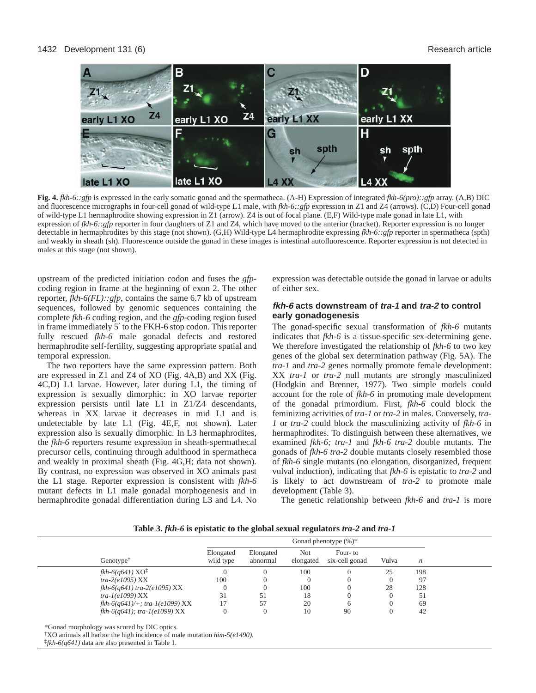#### 1432 Development 131 (6) **Research article Research article Research article Research article**



**Fig. 4.** *fkh-6::gfp* is expressed in the early somatic gonad and the spermatheca. (A-H) Expression of integrated *fkh-6(pro)::gfp* array. (A,B) DIC and fluorescence micrographs in four-cell gonad of wild-type L1 male, with *fkh-6::gfp* expression in Z1 and Z4 (arrows). (C,D) Four-cell gonad of wild-type L1 hermaphrodite showing expression in Z1 (arrow). Z4 is out of focal plane. (E,F) Wild-type male gonad in late L1, with expression of *fkh-6::gfp* reporter in four daughters of Z1 and Z4, which have moved to the anterior (bracket). Reporter expression is no longer detectable in hermaphrodites by this stage (not shown). (G,H) Wild-type L4 hermaphrodite expressing *fkh-6::gfp* reporter in spermatheca (spth) and weakly in sheath (sh). Fluorescence outside the gonad in these images is intestinal autofluorescence. Reporter expression is not detected in males at this stage (not shown).

upstream of the predicted initiation codon and fuses the *gfp*coding region in frame at the beginning of exon 2. The other reporter, *fkh-6(FL)::gfp*, contains the same 6.7 kb of upstream sequences, followed by genomic sequences containing the complete *fkh-6* coding region, and the *gfp*-coding region fused in frame immediately 5′ to the FKH-6 stop codon. This reporter fully rescued *fkh-6* male gonadal defects and restored hermaphrodite self-fertility, suggesting appropriate spatial and temporal expression.

The two reporters have the same expression pattern. Both are expressed in Z1 and Z4 of XO (Fig. 4A,B) and XX (Fig. 4C,D) L1 larvae. However, later during L1, the timing of expression is sexually dimorphic: in XO larvae reporter expression persists until late L1 in Z1/Z4 descendants, whereas in XX larvae it decreases in mid L1 and is undetectable by late L1 (Fig. 4E,F, not shown). Later expression also is sexually dimorphic. In L3 hermaphrodites, the *fkh-6* reporters resume expression in sheath-spermathecal precursor cells, continuing through adulthood in spermatheca and weakly in proximal sheath (Fig. 4G,H; data not shown). By contrast, no expression was observed in XO animals past the L1 stage. Reporter expression is consistent with *fkh-6* mutant defects in L1 male gonadal morphogenesis and in hermaphrodite gonadal differentiation during L3 and L4. No expression was detectable outside the gonad in larvae or adults of either sex.

# **fkh-6 acts downstream of tra-1 and tra-2 to control early gonadogenesis**

The gonad-specific sexual transformation of *fkh-6* mutants indicates that *fkh-6* is a tissue-specific sex-determining gene. We therefore investigated the relationship of *fkh-6* to two key genes of the global sex determination pathway (Fig. 5A). The *tra-1* and *tra-2* genes normally promote female development: XX *tra-1* or *tra-2* null mutants are strongly masculinized (Hodgkin and Brenner, 1977). Two simple models could account for the role of *fkh-6* in promoting male development of the gonadal primordium. First, *fkh-6* could block the feminizing activities of *tra-1* or *tra-2* in males. Conversely, *tra-1* or *tra-2* could block the masculinizing activity of *fkh-6* in hermaphrodites. To distinguish between these alternatives, we examined *fkh-6; tra-1* and *fkh-6 tra-2* double mutants. The gonads of *fkh-6 tra-2* double mutants closely resembled those of *fkh-6* single mutants (no elongation, disorganized, frequent vulval induction), indicating that *fkh-6* is epistatic to *tra-2* and is likely to act downstream of *tra-2* to promote male development (Table 3).

The genetic relationship between *fkh-6* and *tra-1* is more

|  | Table 3. fkh-6 is epistatic to the global sexual regulators tra-2 and tra-1 |  |
|--|-----------------------------------------------------------------------------|--|
|  |                                                                             |  |

|                                   | Gonad phenotype $(\%)^*$ |                       |                  |                           |       |                  |
|-----------------------------------|--------------------------|-----------------------|------------------|---------------------------|-------|------------------|
| Genotype <sup>†</sup>             | Elongated<br>wild type   | Elongated<br>abnormal | Not<br>elongated | Four-to<br>six-cell gonad | Vulva | $\boldsymbol{n}$ |
| $fkh-6(q641)XO‡$                  |                          |                       | 100              |                           | 25    | 198              |
| $tra-2(e1095)$ XX                 | 100                      |                       |                  |                           |       | 97               |
| $fkh-6(q641)$ tra-2(e1095) XX     |                          |                       | 100              |                           | 28    | 128              |
| $tra-I(e1099)$ XX                 | 31                       | 51                    | 18               |                           |       | 51               |
| $fkh-6(q641)/+$ ; tra-1(e1099) XX |                          | 57                    | 20               |                           |       | 69               |
| $fkh-6(q641);$ tra-1(e1099) XX    |                          |                       | 10               | 90                        |       | 42               |

\*Gonad morphology was scored by DIC optics.

†XO animals all harbor the high incidence of male mutation *him-5(e1490).* 

‡*fkh-6(q641)* data are also presented in Table 1.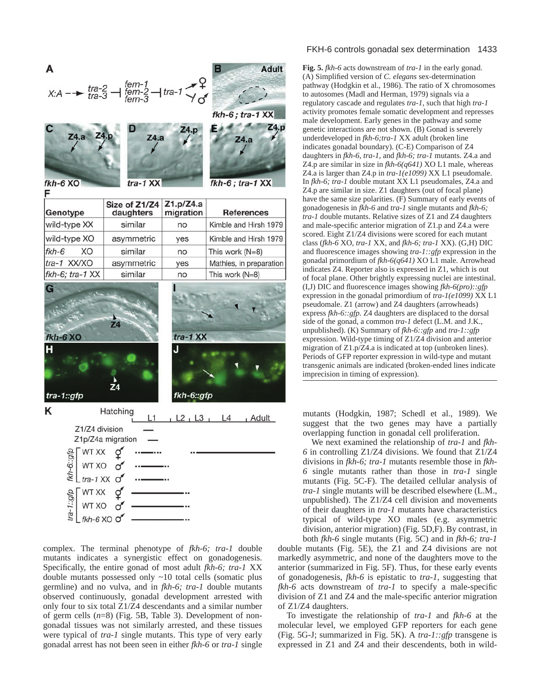

complex. The terminal phenotype of *fkh-6; tra-1* double mutants indicates a synergistic effect on gonadogenesis. Specifically, the entire gonad of most adult *fkh-6; tra-1* XX double mutants possessed only ~10 total cells (somatic plus germline) and no vulva, and in *fkh-6; tra-1* double mutants observed continuously, gonadal development arrested with only four to six total Z1/Z4 descendants and a similar number of germ cells (*n*=8) (Fig. 5B, Table 3). Development of nongonadal tissues was not similarly arrested, and these tissues were typical of *tra-1* single mutants. This type of very early gonadal arrest has not been seen in either *fkh-6* or *tra-1* single

#### FKH-6 controls gonadal sex determination 1433

**Fig. 5.** *fkh-6* acts downstream of *tra-1* in the early gonad. (A) Simplified version of *C. elegans* sex-determination pathway (Hodgkin et al., 1986). The ratio of X chromosomes to autosomes (Madl and Herman, 1979) signals via a regulatory cascade and regulates *tra-1*, such that high *tra-1* activity promotes female somatic development and represses male development. Early genes in the pathway and some genetic interactions are not shown. (B) Gonad is severely underdeveloped in *fkh-6;tra-1* XX adult (broken line indicates gonadal boundary). (C-E) Comparison of Z4 daughters in *fkh-6*, *tra-1*, and *fkh-6; tra-1* mutants. Z4.a and Z4.p are similar in size in *fkh-6(q641)* XO L1 male, whereas Z4.a is larger than Z4.p in *tra-1(e1099)* XX L1 pseudomale. In *fkh-6; tra-1* double mutant XX L1 pseudomales, Z4.a and Z4.p are similar in size. Z1 daughters (out of focal plane) have the same size polarities. (F) Summary of early events of gonadogenesis in *fkh-6* and *tra-1* single mutants and *fkh-6; tra-1* double mutants. Relative sizes of Z1 and Z4 daughters and male-specific anterior migration of Z1.p and Z4.a were scored. Eight Z1/Z4 divisions were scored for each mutant class (*fkh-6* XO*, tra-1* XX*,* and *fkh-6; tra-1* XX). (G,H) DIC and fluorescence images showing *tra-1::gfp* expression in the gonadal primordium of *fkh-6(q641)* XO L1 male. Arrowhead indicates Z4. Reporter also is expressed in Z1, which is out of focal plane. Other brightly expressing nuclei are intestinal. (I,J) DIC and fluorescence images showing *fkh-6(pro)::gfp* expression in the gonadal primordium of *tra-1(e1099)* XX L1 pseudomale. Z1 (arrow) and Z4 daughters (arrowheads) express *fkh-6::gfp.* Z4 daughters are displaced to the dorsal side of the gonad, a common *tra-1* defect (L.M. and J.K., unpublished). (K) Summary of *fkh-6::gfp* and *tra-1::gfp* expression. Wild-type timing of Z1/Z4 division and anterior migration of Z1.p/Z4.a is indicated at top (unbroken lines). Periods of GFP reporter expression in wild-type and mutant transgenic animals are indicated (broken-ended lines indicate imprecision in timing of expression).

mutants (Hodgkin, 1987; Schedl et al., 1989). We suggest that the two genes may have a partially overlapping function in gonadal cell proliferation.

We next examined the relationship of *tra-1* and *fkh-6* in controlling Z1/Z4 divisions. We found that Z1/Z4 divisions in *fkh-6; tra-1* mutants resemble those in *fkh-6* single mutants rather than those in *tra-1* single mutants (Fig. 5C-F). The detailed cellular analysis of *tra-1* single mutants will be described elsewhere (L.M., unpublished). The Z1/Z4 cell division and movements of their daughters in *tra-1* mutants have characteristics typical of wild-type XO males (e.g. asymmetric division, anterior migration) (Fig. 5D,F). By contrast, in both *fkh-6* single mutants (Fig. 5C) and in *fkh-6; tra-1*

double mutants (Fig. 5E), the Z1 and Z4 divisions are not markedly asymmetric, and none of the daughters move to the anterior (summarized in Fig. 5F). Thus, for these early events of gonadogenesis, *fkh-6* is epistatic to *tra-1*, suggesting that *fkh-6* acts downstream of *tra-1* to specify a male-specific division of Z1 and Z4 and the male-specific anterior migration of Z1/Z4 daughters.

To investigate the relationship of *tra-1* and *fkh-6* at the molecular level, we employed GFP reporters for each gene (Fig. 5G-J; summarized in Fig. 5K). A *tra-1::gfp* transgene is expressed in Z1 and Z4 and their descendents, both in wild-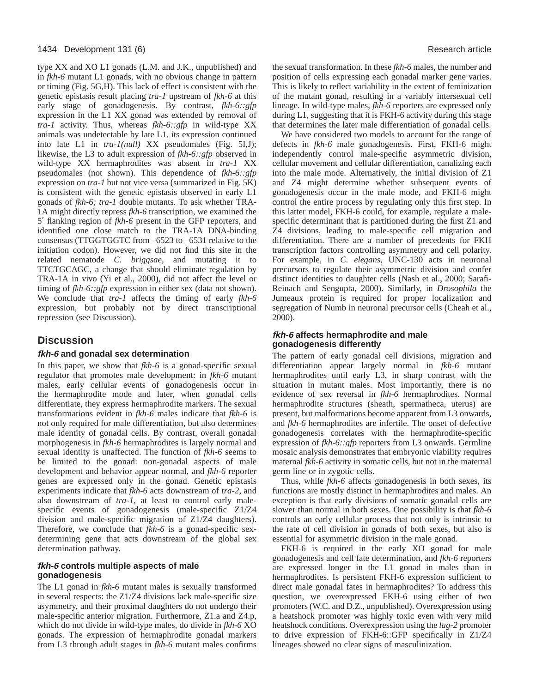#### 1434 Development 131 (6) Research article

type XX and XO L1 gonads (L.M. and J.K., unpublished) and in *fkh-6* mutant L1 gonads, with no obvious change in pattern or timing (Fig. 5G,H). This lack of effect is consistent with the genetic epistasis result placing *tra-1* upstream of *fkh-6* at this early stage of gonadogenesis. By contrast, *fkh-6::gfp* expression in the L1 XX gonad was extended by removal of *tra-1* activity. Thus, whereas *fkh-6::gfp* in wild-type XX animals was undetectable by late L1, its expression continued into late L1 in *tra-1(null)* XX pseudomales (Fig. 5I,J); likewise, the L3 to adult expression of *fkh-6::gfp* observed in wild-type XX hermaphrodites was absent in *tra-1* XX pseudomales (not shown). This dependence of *fkh-6::gfp* expression on *tra-1* but not vice versa (summarized in Fig. 5K) is consistent with the genetic epistasis observed in early L1 gonads of *fkh-6; tra-1* double mutants. To ask whether TRA-1A might directly repress *fkh-6* transcription, we examined the 5′ flanking region of *fkh-6* present in the GFP reporters, and identified one close match to the TRA-1A DNA-binding consensus (TTGGTGGTC from –6523 to –6531 relative to the initiation codon). However, we did not find this site in the related nematode *C. briggsae*, and mutating it to TTCTGCAGC, a change that should eliminate regulation by TRA-1A in vivo (Yi et al., 2000), did not affect the level or timing of *fkh-6::gfp* expression in either sex (data not shown). We conclude that *tra-1* affects the timing of early *fkh-6* expression, but probably not by direct transcriptional repression (see Discussion).

# **Discussion**

# **fkh-6 and gonadal sex determination**

In this paper, we show that *fkh-6* is a gonad-specific sexual regulator that promotes male development: in *fkh-6* mutant males, early cellular events of gonadogenesis occur in the hermaphrodite mode and later, when gonadal cells differentiate, they express hermaphrodite markers. The sexual transformations evident in *fkh-6* males indicate that *fkh-6* is not only required for male differentiation, but also determines male identity of gonadal cells. By contrast, overall gonadal morphogenesis in *fkh-6* hermaphrodites is largely normal and sexual identity is unaffected. The function of *fkh-6* seems to be limited to the gonad: non-gonadal aspects of male development and behavior appear normal, and *fkh-6* reporter genes are expressed only in the gonad. Genetic epistasis experiments indicate that *fkh-6* acts downstream of *tra-2*, and also downstream of *tra-1*, at least to control early malespecific events of gonadogenesis (male-specific Z1/Z4 division and male-specific migration of Z1/Z4 daughters). Therefore, we conclude that *fkh-6* is a gonad-specific sexdetermining gene that acts downstream of the global sex determination pathway.

### **fkh-6 controls multiple aspects of male gonadogenesis**

The L1 gonad in *fkh-6* mutant males is sexually transformed in several respects: the Z1/Z4 divisions lack male-specific size asymmetry, and their proximal daughters do not undergo their male-specific anterior migration. Furthermore, Z1.a and Z4.p, which do not divide in wild-type males, do divide in *fkh-6* XO gonads. The expression of hermaphrodite gonadal markers from L3 through adult stages in *fkh-6* mutant males confirms

the sexual transformation. In these *fkh-6* males, the number and position of cells expressing each gonadal marker gene varies. This is likely to reflect variability in the extent of feminization of the mutant gonad, resulting in a variably intersexual cell lineage. In wild-type males, *fkh-6* reporters are expressed only during L1, suggesting that it is FKH-6 activity during this stage that determines the later male differentiation of gonadal cells.

We have considered two models to account for the range of defects in *fkh-6* male gonadogenesis. First, FKH-6 might independently control male-specific asymmetric division, cellular movement and cellular differentiation, canalizing each into the male mode. Alternatively, the initial division of Z1 and Z4 might determine whether subsequent events of gonadogenesis occur in the male mode, and FKH-6 might control the entire process by regulating only this first step. In this latter model, FKH-6 could, for example, regulate a malespecific determinant that is partitioned during the first Z1 and Z4 divisions, leading to male-specific cell migration and differentiation. There are a number of precedents for FKH transcription factors controlling asymmetry and cell polarity. For example, in *C. elegans*, UNC-130 acts in neuronal precursors to regulate their asymmetric division and confer distinct identities to daughter cells (Nash et al., 2000; Sarafi-Reinach and Sengupta, 2000). Similarly, in *Drosophila* the Jumeaux protein is required for proper localization and segregation of Numb in neuronal precursor cells (Cheah et al., 2000).

## **fkh-6 affects hermaphrodite and male gonadogenesis differently**

The pattern of early gonadal cell divisions, migration and differentiation appear largely normal in *fkh-6* mutant hermaphrodites until early L3, in sharp contrast with the situation in mutant males. Most importantly, there is no evidence of sex reversal in *fkh-6* hermaphrodites. Normal hermaphrodite structures (sheath, spermatheca, uterus) are present, but malformations become apparent from L3 onwards, and *fkh-6* hermaphrodites are infertile. The onset of defective gonadogenesis correlates with the hermaphrodite-specific expression of *fkh-6::gfp* reporters from L3 onwards. Germline mosaic analysis demonstrates that embryonic viability requires maternal *fkh-6* activity in somatic cells, but not in the maternal germ line or in zygotic cells.

Thus, while *fkh-6* affects gonadogenesis in both sexes, its functions are mostly distinct in hermaphrodites and males. An exception is that early divisions of somatic gonadal cells are slower than normal in both sexes. One possibility is that *fkh-6* controls an early cellular process that not only is intrinsic to the rate of cell division in gonads of both sexes, but also is essential for asymmetric division in the male gonad.

FKH-6 is required in the early XO gonad for male gonadogenesis and cell fate determination, and *fkh-6* reporters are expressed longer in the L1 gonad in males than in hermaphrodites. Is persistent FKH-6 expression sufficient to direct male gonadal fates in hermaphrodites? To address this question, we overexpressed FKH-6 using either of two promoters (W.C. and D.Z., unpublished). Overexpression using a heatshock promoter was highly toxic even with very mild heatshock conditions. Overexpression using the *lag-2* promoter to drive expression of FKH-6::GFP specifically in Z1/Z4 lineages showed no clear signs of masculinization.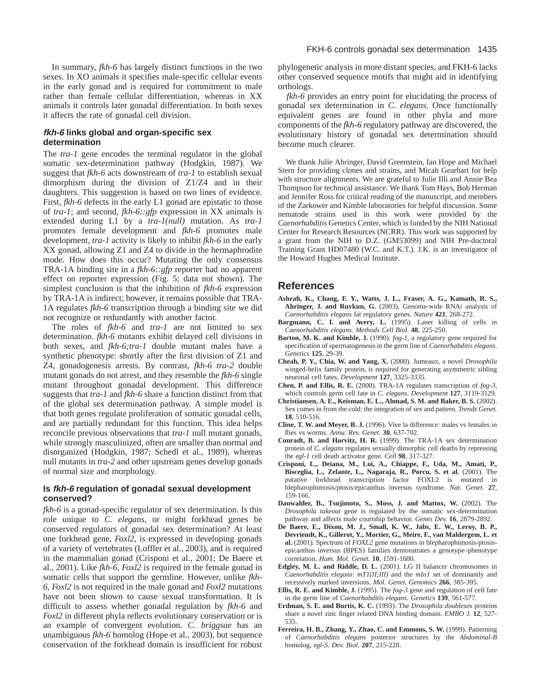### **fkh-6 links global and organ-specific sex determination**

The *tra-1* gene encodes the terminal regulator in the global somatic sex-determination pathway (Hodgkin, 1987). We suggest that *fkh-6* acts downstream of *tra-1* to establish sexual dimorphism during the division of Z1/Z4 and in their daughters. This suggestion is based on two lines of evidence. First, *fkh-6* defects in the early L1 gonad are epistatic to those of *tra-1*; and second, *fkh-6::gfp* expression in XX animals is extended during L1 by a *tra-1(null)* mutation. As *tra-1* promotes female development and *fkh-6* promotes male development, *tra-1* activity is likely to inhibit *fkh-6* in the early XX gonad, allowing Z1 and Z4 to divide in the hermaphrodite mode. How does this occur? Mutating the only consensus TRA-1A binding site in a *fkh-6::gfp* reporter had no apparent effect on reporter expression (Fig. 5; data not shown). The simplest conclusion is that the inhibition of *fkh-6* expression by TRA-1A is indirect; however, it remains possible that TRA-1A regulates *fkh-6* transcription through a binding site we did not recognize or redundantly with another factor.

The roles of *fkh-6* and *tra-1* are not limited to sex determination. *fkh-6* mutants exhibit delayed cell divisions in both sexes, and *fkh-6;tra-1* double mutant males have a synthetic phenotype: shortly after the first division of Z1 and Z4, gonadogenesis arrests. By contrast, *fkh-6 tra-2* double mutant gonads do not arrest, and they resemble the *fkh-6* single mutant throughout gonadal development. This difference suggests that *tra-1* and *fkh-6* share a function distinct from that of the global sex determination pathway. A simple model is that both genes regulate proliferation of somatic gonadal cells, and are partially redundant for this function. This idea helps reconcile previous observations that *tra-1* null mutant gonads, while strongly masculinized, often are smaller than normal and disorganized (Hodgkin, 1987; Schedl et al., 1989), whereas null mutants in *tra-2* and other upstream genes develop gonads of normal size and morphology.

## **Is fkh-6 regulation of gonadal sexual development conserved?**

*fkh-6* is a gonad-specific regulator of sex determination. Is this role unique to *C. elegans*, or might forkhead genes be conserved regulators of gonadal sex determination? At least one forkhead gene, *Foxl2*, is expressed in developing gonads of a variety of vertebrates (Loffler et al., 2003), and is required in the mammalian gonad (Crisponi et al., 2001; De Baere et al., 2001). Like *fkh-6*, *Foxl2* is required in the female gonad in somatic cells that support the germline. However, unlike *fkh-6*, *Foxl2* is not required in the male gonad and *Foxl2* mutations have not been shown to cause sexual transformation. It is difficult to assess whether gonadal regulation by *fkh-6* and *Foxl2* in different phyla reflects evolutionary conservation or is an example of convergent evolution. *C. briggsae* has an unambiguous *fkh-6* homolog (Hope et al., 2003), but sequence conservation of the forkhead domain is insufficient for robust

phylogenetic analysis in more distant species, and FKH-6 lacks other conserved sequence motifs that might aid in identifying orthologs.

*fkh-6* provides an entry point for elucidating the process of gonadal sex determination in *C. elegans*. Once functionally equivalent genes are found in other phyla and more components of the *fkh-6* regulatory pathway are discovered, the evolutionary history of gonadal sex determination should become much clearer.

We thank Julie Ahringer, David Greenstein, Ian Hope and Michael Stern for providing clones and strains, and Micah Gearhart for help with structure alignments. We are grateful to Julie Illi and Annie Bea Thompson for technical assistance. We thank Tom Hays, Bob Herman and Jennifer Ross for critical reading of the manuscript, and members of the Zarkower and Kimble laboratories for helpful discussion. Some nematode strains used in this work were provided by the *Caenorhabditis* Genetics Center, which is funded by the NIH National Center for Research Resources (NCRR). This work was supported by a grant from the NIH to D.Z. (GM53099) and NIH Pre-doctoral Training Grant HD07480 (W.C. and K.T.). J.K. is an investigator of the Howard Hughes Medical Institute.

# **References**

- **Ashrafi, K., Chang, F. Y., Watts, J. L., Fraser, A. G., Kamath, R. S., Ahringer, J. and Ruvkun, G.** (2003). Genome-wide RNAi analysis of *Caenorhabditis elegans* fat regulatory genes. *Nature* **421**, 268-272.
- **Bargmann, C. I. and Avery, L.** (1995). Laser killing of cells in *Caenorhabditis elegans*. *Methods Cell Biol.* **48**, 225-250.
- Barton, M. K. and Kimble, J. (1990).  $fog-1$ , a regulatory gene required for specification of spermatogenesis in the germ line of *Caenorhabditis elegans*. *Genetics* **125**, 29-39.
- **Cheah, P. Y., Chia, W. and Yang, X.** (2000). Jumeaux, a novel *Drosophila* winged-helix family protein, is required for generating asymmetric sibling neuronal cell fates. *Development* **127**, 3325-3335.
- **Chen, P. and Ellis, R. E.** (2000). TRA-1A regulates transcription of *fog-3*, which controls germ cell fate in *C. elegans*. *Development* **127**, 3119-3129.
- **Christiansen, A. E., Keisman, E. L., Ahmad, S. M. and Baker, B. S.** (2002). Sex comes in from the cold: the integration of sex and pattern. *Trends Genet.* **18**, 510-516.
- **Cline, T. W. and Meyer, B. J.** (1996). Vive la difference: males vs females in flies vs worms. *Annu. Rev. Genet.* **30**, 637-702.
- **Conradt, B. and Horvitz, H. R.** (1999). The TRA-1A sex determination protein of *C. elegans* regulates sexually dimorphic cell deaths by repressing the *egl-1* cell death activator gene. *Cell* **98**, 317-327.
- **Crisponi, L., Deiana, M., Loi, A., Chiappe, F., Uda, M., Amati, P., Bisceglia, L., Zelante, L., Nagaraja, R., Porcu, S. et al.** (2001). The putative forkhead transcription factor FOXL2 is mutated in blepharophimosis/ptosis/epicanthus inversus syndrome. *Nat. Genet.* **27**, 159-166.
- **Dauwalder, B., Tsujimoto, S., Moss, J. and Mattox, W.** (2002). The *Drosophila takeout* gene is regulated by the somatic sex-determination pathway and affects male courtship behavior. *Genes Dev.* **16**, 2879-2892.
- **De Baere, E., Dixon, M. J., Small, K. W., Jabs, E. W., Leroy, B. P., Devriendt, K., Gillerot, Y., Mortier, G., Meire, F., van Maldergem, L. et al.** (2001). Spectrum of *FOXL2* gene mutations in blepharophimosis-ptosisepicanthus inversus (BPES) families demonstrates a genotype–phenotype correlation. *Hum. Mol. Genet.* **10**, 1591-1600.
- **Edgley, M. L. and Riddle, D. L.** (2001). LG II balancer chromosomes in *Caenorhabditis elegans*: *mT1(II;III)* and the *mIn1* set of dominantly and recessively marked inversions. *Mol. Genet. Genomics* **266**, 385-395.
- **Ellis, R. E. and Kimble, J.** (1995). The *fog-3* gene and regulation of cell fate in the germ line of *Caenorhabditis elegans*. *Genetics* **139**, 561-577.
- **Erdman, S. E. and Burtis, K. C.** (1993). The *Drosophila doublesex* proteins share a novel zinc finger related DNA binding domain. *EMBO J.* **12**, 527- 535.
- **Ferreira, H. B., Zhang, Y., Zhao, C. and Emmons, S. W.** (1999). Patterning of *Caenorhabditis elegans* posterior structures by the *Abdominal-B* homolog, *egl-5*. *Dev. Biol.* **207**, 215-228.